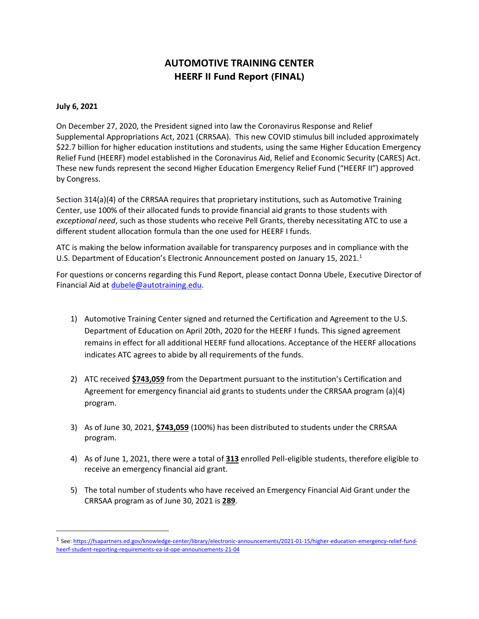## **AUTOMOTIVE TRAINING CENTER HEERF II Fund Report (FINAL)**

## **July 6, 2021**

On December 27, 2020, the President signed into law the Coronavirus Response and Relief Supplemental Appropriations Act, 2021 (CRRSAA). This new COVID stimulus bill included approximately \$22.7 billion for higher education institutions and students, using the same Higher Education Emergency Relief Fund (HEERF) model established in the Coronavirus Aid, Relief and Economic Security (CARES) Act. These new funds represent the second Higher Education Emergency Relief Fund ("HEERF II") approved by Congress.

Section 314(a)(4) of the CRRSAA requires that proprietary institutions, such as Automotive Training Center, use 100% of their allocated funds to provide financial aid grants to those students with *exceptional need*, such as those students who receive Pell Grants, thereby necessitating ATC to use a different student allocation formula than the one used for HEERF I funds.

ATC is making the below information available for transparency purposes and in compliance with the U.S. Department of Education's Electronic Announcement posted on January 15, 2021. 1

For questions or concerns regarding this Fund Report, please contact Donna Ubele, Executive Director of Financial Aid at [dubele@autotraining.edu.](mailto:dubele@autotraining.edu)

- 1) Automotive Training Center signed and returned the Certification and Agreement to the U.S. Department of Education on April 20th, 2020 for the HEERF I funds. This signed agreement remains in effect for all additional HEERF fund allocations. Acceptance of the HEERF allocations indicates ATC agrees to abide by all requirements of the funds.
- 2) ATC received **\$743,059** from the Department pursuant to the institution's Certification and Agreement for emergency financial aid grants to students under the CRRSAA program (a)(4) program.
- 3) As of June 30, 2021, **\$743,059** (100%) has been distributed to students under the CRRSAA program.
- 4) As of June 1, 2021, there were a total of **313** enrolled Pell-eligible students, therefore eligible to receive an emergency financial aid grant.
- 5) The total number of students who have received an Emergency Financial Aid Grant under the CRRSAA program as of June 30, 2021 is **289**.

<sup>&</sup>lt;sup>1</sup> See[: https://fsapartners.ed.gov/knowledge-center/library/electronic-announcements/2021-01-15/higher-education-emergency-relief-fund](https://fsapartners.ed.gov/knowledge-center/library/electronic-announcements/2021-01-15/higher-education-emergency-relief-fund-heerf-student-reporting-requirements-ea-id-ope-announcements-21-04)[heerf-student-reporting-requirements-ea-id-ope-announcements-21-04](https://fsapartners.ed.gov/knowledge-center/library/electronic-announcements/2021-01-15/higher-education-emergency-relief-fund-heerf-student-reporting-requirements-ea-id-ope-announcements-21-04)